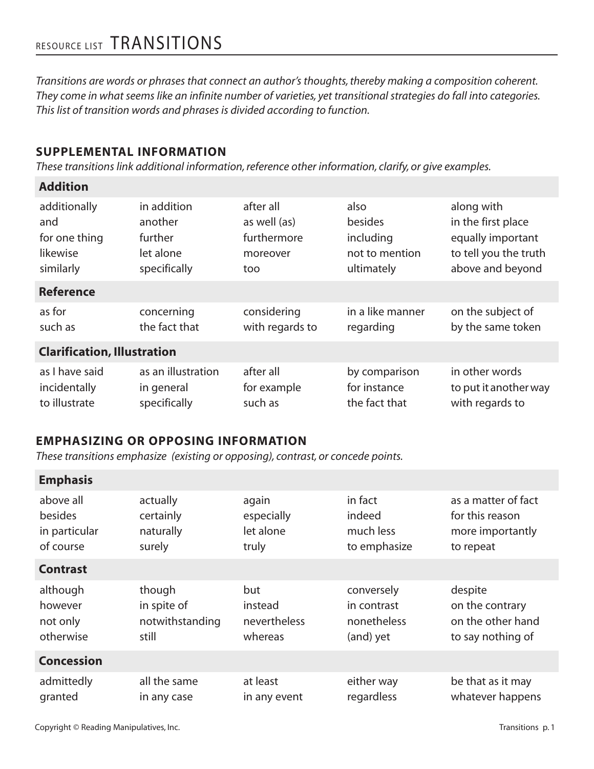# RESOURCE LIST TRANSITIONS

*Transitions are words or phrases that connect an author's thoughts, thereby making a composition coherent. They come in what seems like an infinite number of varieties, yet transitional strategies do fall into categories. This list of transition words and phrases is divided according to function.*

### **SUPPLEMENTAL INFORMATION**

*These transitions link additional information, reference other information, clarify, or give examples.*

#### **Addition**

| additionally                       | in addition        | after all       | also             | along with            |  |
|------------------------------------|--------------------|-----------------|------------------|-----------------------|--|
| and                                | another            | as well (as)    | besides          | in the first place    |  |
| for one thing                      | further            | furthermore     | including        | equally important     |  |
| likewise                           | let alone          | moreover        | not to mention   | to tell you the truth |  |
| similarly                          | specifically       | too             | ultimately       | above and beyond      |  |
| <b>Reference</b>                   |                    |                 |                  |                       |  |
| as for                             | concerning         | considering     | in a like manner | on the subject of     |  |
| such as                            | the fact that      | with regards to | regarding        | by the same token     |  |
| <b>Clarification, Illustration</b> |                    |                 |                  |                       |  |
| as I have said                     | as an illustration | after all       | by comparison    | in other words        |  |
| incidentally                       | in general         | for example     | for instance     | to put it another way |  |
| to illustrate                      | specifically       | such as         | the fact that    | with regards to       |  |

#### **EMPHASIZING OR OPPOSING INFORMATION**

*These transitions emphasize (existing or opposing), contrast, or concede points.*

| <b>Emphasis</b>   |                 |              |              |                     |
|-------------------|-----------------|--------------|--------------|---------------------|
| above all         | actually        | again        | in fact      | as a matter of fact |
| <b>besides</b>    | certainly       | especially   | indeed       | for this reason     |
| in particular     | naturally       | let alone    | much less    | more importantly    |
| of course         | surely          | truly        | to emphasize | to repeat           |
| <b>Contrast</b>   |                 |              |              |                     |
| although          | though          | but          | conversely   | despite             |
| however           | in spite of     | instead      | in contrast  | on the contrary     |
| not only          | notwithstanding | nevertheless | nonetheless  | on the other hand   |
| otherwise         | still           | whereas      | (and) yet    | to say nothing of   |
| <b>Concession</b> |                 |              |              |                     |
| admittedly        | all the same    | at least     | either way   | be that as it may   |
| granted           | in any case     | in any event | regardless   | whatever happens    |